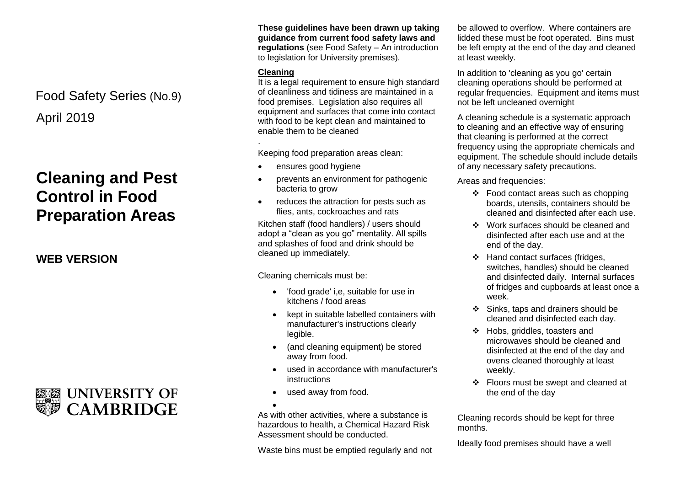April 2019 Food Safety Series (No.9)

# **Cleaning and Pest Control in Food Preparation Areas**

**WEB VERSION**



**These guidelines have been drawn up taking guidance from current food safety laws and regulations** (see Food Safety – An introduction to legislation for University premises).

### **Cleaning**

.

It is a legal requirement to ensure high standard of cleanliness and tidiness are maintained in a food premises. Legislation also requires all equipment and surfaces that come into contact with food to be kept clean and maintained to enable them to be cleaned

Keeping food preparation areas clean:

- ensures good hygiene
- prevents an environment for pathogenic bacteria to grow
- reduces the attraction for pests such as flies, ants, cockroaches and rats

Kitchen staff (food handlers) / users should adopt a "clean as you go" mentality. All spills and splashes of food and drink should be cleaned up immediately.

Cleaning chemicals must be:

- 'food grade' i,e, suitable for use in kitchens / food areas
- kept in suitable labelled containers with manufacturer's instructions clearly legible.
- (and cleaning equipment) be stored away from food.
- used in accordance with manufacturer's instructions
- used away from food.

 $\bullet$ As with other activities, where a substance is hazardous to health, a Chemical Hazard Risk Assessment should be conducted.

Waste bins must be emptied regularly and not

be allowed to overflow. Where containers are lidded these must be foot operated. Bins must be left empty at the end of the day and cleaned at least weekly.

In addition to 'cleaning as you go' certain cleaning operations should be performed at regular frequencies. Equipment and items must not be left uncleaned overnight

A cleaning schedule is a systematic approach to cleaning and an effective way of ensuring that cleaning is performed at the correct frequency using the appropriate chemicals and equipment. The schedule should include details of any necessary safety precautions.

Areas and frequencies:

- $\div$  Food contact areas such as chopping boards, utensils, containers should be cleaned and disinfected after each use.
- ❖ Work surfaces should be cleaned and disinfected after each use and at the end of the day.
- ❖ Hand contact surfaces (fridges, switches, handles) should be cleaned and disinfected daily. Internal surfaces of fridges and cupboards at least once a week.
- $\div$  Sinks, taps and drainers should be cleaned and disinfected each day.
- Hobs, griddles, toasters and microwaves should be cleaned and disinfected at the end of the day and ovens cleaned thoroughly at least weekly.
- ❖ Floors must be swept and cleaned at the end of the day

Cleaning records should be kept for three months.

Ideally food premises should have a well